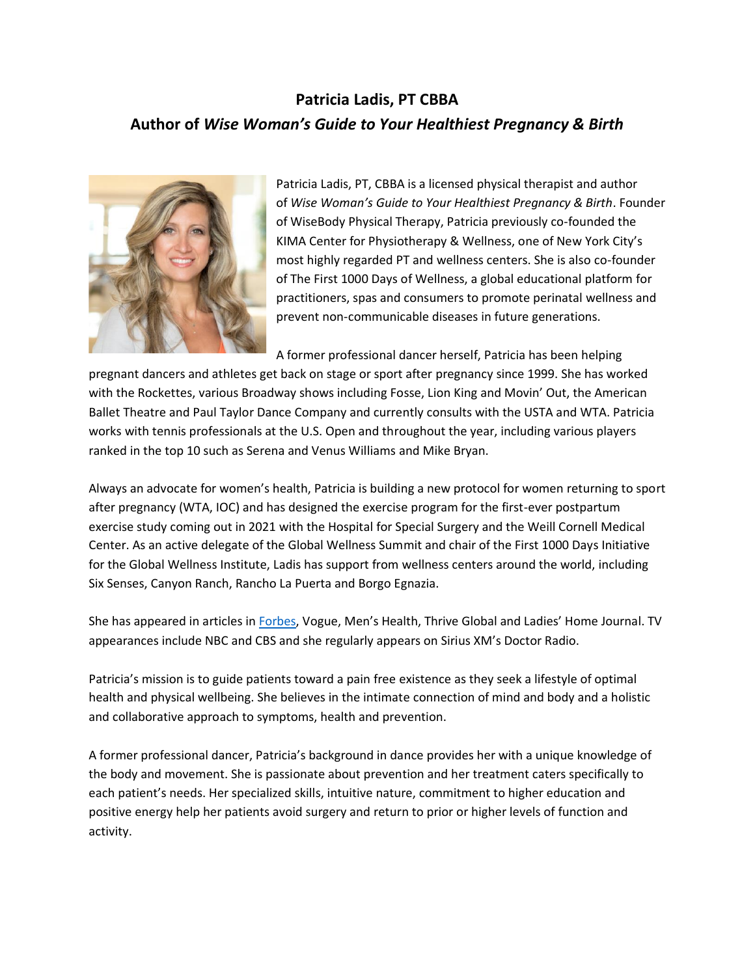## **Patricia Ladis, PT CBBA Author of** *Wise Woman's Guide to Your Healthiest Pregnancy & Birth*



Patricia Ladis, PT, CBBA is a licensed physical therapist and author of *Wise Woman's Guide to Your Healthiest Pregnancy & Birth*. Founder of WiseBody Physical Therapy, Patricia previously co-founded the KIMA Center for Physiotherapy & Wellness, one of New York City's most highly regarded PT and wellness centers. She is also co-founder of The First 1000 Days of Wellness, a global educational platform for practitioners, spas and consumers to promote perinatal wellness and prevent non-communicable diseases in future generations.

A former professional dancer herself, Patricia has been helping

pregnant dancers and athletes get back on stage or sport after pregnancy since 1999. She has worked with the Rockettes, various Broadway shows including Fosse, Lion King and Movin' Out, the American Ballet Theatre and Paul Taylor Dance Company and currently consults with the USTA and WTA. Patricia works with tennis professionals at the U.S. Open and throughout the year, including various players ranked in the top 10 such as Serena and Venus Williams and Mike Bryan.

Always an advocate for women's health, Patricia is building a new protocol for women returning to sport after pregnancy (WTA, IOC) and has designed the exercise program for the first-ever postpartum exercise study coming out in 2021 with the Hospital for Special Surgery and the Weill Cornell Medical Center. As an active delegate of the Global Wellness Summit and chair of the First 1000 Days Initiative for the Global Wellness Institute, Ladis has support from wellness centers around the world, including Six Senses, Canyon Ranch, Rancho La Puerta and Borgo Egnazia.

She has appeared in articles in [Forbes](https://www.forbes.com/sites/robertglatter/2013/10/10/the-perils-of-hip-injuries-in-mens-tennis-how-mike-bryan-of-the-bryan-brothers-beat-the-odds/?sh=5a13f2646b83), Vogue, Men's Health, Thrive Global and Ladies' Home Journal. TV appearances include NBC and CBS and she regularly appears on Sirius XM's Doctor Radio.

Patricia's mission is to guide patients toward a pain free existence as they seek a lifestyle of optimal health and physical wellbeing. She believes in the intimate connection of mind and body and a holistic and collaborative approach to symptoms, health and prevention.

A former professional dancer, Patricia's background in dance provides her with a unique knowledge of the body and movement. She is passionate about prevention and her treatment caters specifically to each patient's needs. Her specialized skills, intuitive nature, commitment to higher education and positive energy help her patients avoid surgery and return to prior or higher levels of function and activity.